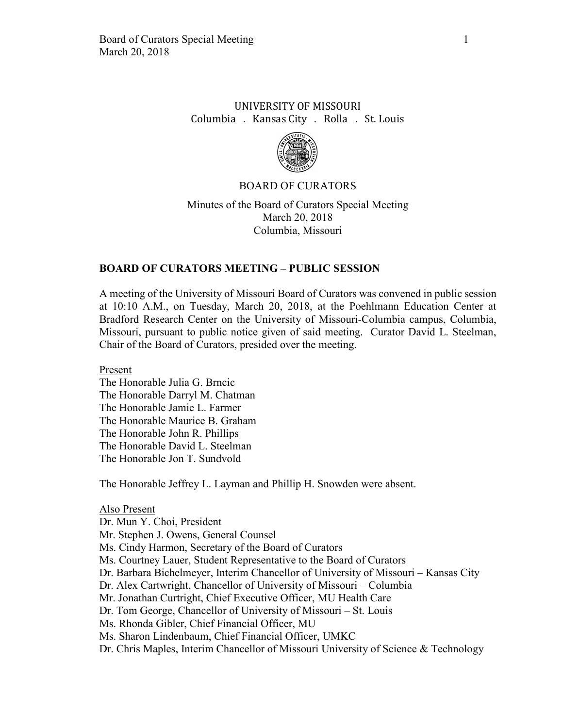# UNIVERSITY OF MISSOURI Columbia . Kansas City . Rolla . St. Louis



### BOARD OF CURATORS

Minutes of the Board of Curators Special Meeting March 20, 2018 Columbia, Missouri

## **BOARD OF CURATORS MEETING – PUBLIC SESSION**

A meeting of the University of Missouri Board of Curators was convened in public session at 10:10 A.M., on Tuesday, March 20, 2018, at the Poehlmann Education Center at Bradford Research Center on the University of Missouri-Columbia campus, Columbia, Missouri, pursuant to public notice given of said meeting. Curator David L. Steelman, Chair of the Board of Curators, presided over the meeting.

Present

The Honorable Julia G. Brncic The Honorable Darryl M. Chatman The Honorable Jamie L. Farmer The Honorable Maurice B. Graham The Honorable John R. Phillips The Honorable David L. Steelman The Honorable Jon T. Sundvold

The Honorable Jeffrey L. Layman and Phillip H. Snowden were absent.

#### Also Present

Dr. Mun Y. Choi, President

Mr. Stephen J. Owens, General Counsel

Ms. Cindy Harmon, Secretary of the Board of Curators

Ms. Courtney Lauer, Student Representative to the Board of Curators

Dr. Barbara Bichelmeyer, Interim Chancellor of University of Missouri – Kansas City

Dr. Alex Cartwright, Chancellor of University of Missouri – Columbia

Mr. Jonathan Curtright, Chief Executive Officer, MU Health Care

Dr. Tom George, Chancellor of University of Missouri – St. Louis

Ms. Rhonda Gibler, Chief Financial Officer, MU

Ms. Sharon Lindenbaum, Chief Financial Officer, UMKC

Dr. Chris Maples, Interim Chancellor of Missouri University of Science & Technology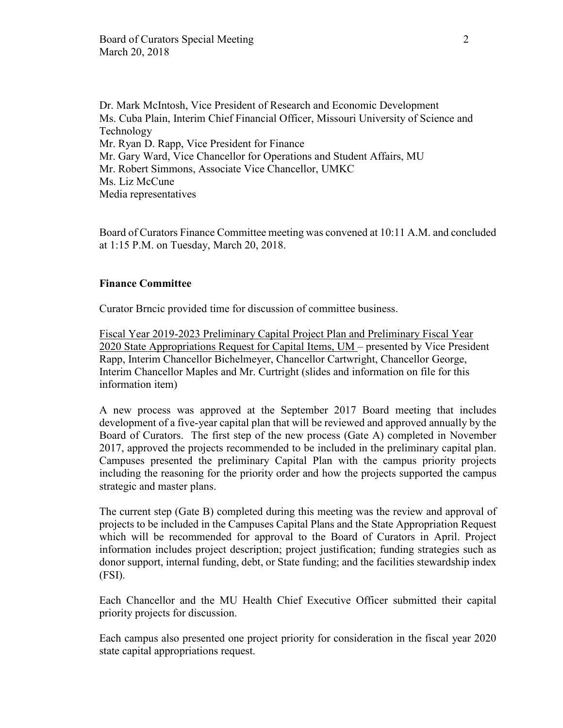Dr. Mark McIntosh, Vice President of Research and Economic Development Ms. Cuba Plain, Interim Chief Financial Officer, Missouri University of Science and Technology Mr. Ryan D. Rapp, Vice President for Finance Mr. Gary Ward, Vice Chancellor for Operations and Student Affairs, MU Mr. Robert Simmons, Associate Vice Chancellor, UMKC Ms. Liz McCune Media representatives

Board of Curators Finance Committee meeting was convened at 10:11 A.M. and concluded at 1:15 P.M. on Tuesday, March 20, 2018.

## **Finance Committee**

Curator Brncic provided time for discussion of committee business.

Fiscal Year 2019-2023 Preliminary Capital Project Plan and Preliminary Fiscal Year 2020 State Appropriations Request for Capital Items, UM – presented by Vice President Rapp, Interim Chancellor Bichelmeyer, Chancellor Cartwright, Chancellor George, Interim Chancellor Maples and Mr. Curtright (slides and information on file for this information item)

A new process was approved at the September 2017 Board meeting that includes development of a five-year capital plan that will be reviewed and approved annually by the Board of Curators. The first step of the new process (Gate A) completed in November 2017, approved the projects recommended to be included in the preliminary capital plan. Campuses presented the preliminary Capital Plan with the campus priority projects including the reasoning for the priority order and how the projects supported the campus strategic and master plans.

The current step (Gate B) completed during this meeting was the review and approval of projects to be included in the Campuses Capital Plans and the State Appropriation Request which will be recommended for approval to the Board of Curators in April. Project information includes project description; project justification; funding strategies such as donor support, internal funding, debt, or State funding; and the facilities stewardship index (FSI).

Each Chancellor and the MU Health Chief Executive Officer submitted their capital priority projects for discussion.

Each campus also presented one project priority for consideration in the fiscal year 2020 state capital appropriations request.